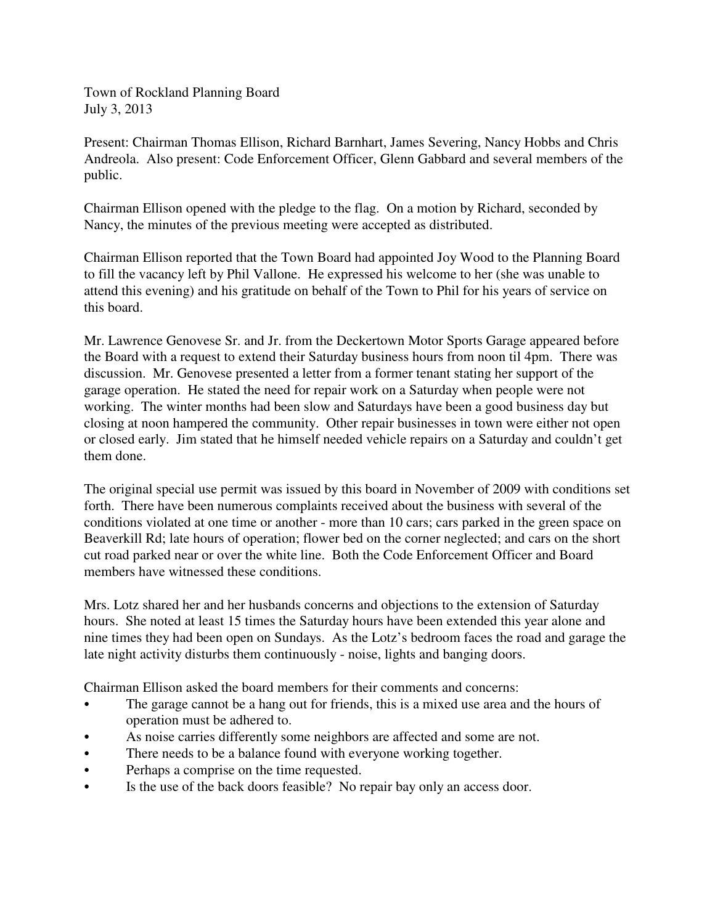Town of Rockland Planning Board July 3, 2013

Present: Chairman Thomas Ellison, Richard Barnhart, James Severing, Nancy Hobbs and Chris Andreola. Also present: Code Enforcement Officer, Glenn Gabbard and several members of the public.

Chairman Ellison opened with the pledge to the flag. On a motion by Richard, seconded by Nancy, the minutes of the previous meeting were accepted as distributed.

Chairman Ellison reported that the Town Board had appointed Joy Wood to the Planning Board to fill the vacancy left by Phil Vallone. He expressed his welcome to her (she was unable to attend this evening) and his gratitude on behalf of the Town to Phil for his years of service on this board.

Mr. Lawrence Genovese Sr. and Jr. from the Deckertown Motor Sports Garage appeared before the Board with a request to extend their Saturday business hours from noon til 4pm. There was discussion. Mr. Genovese presented a letter from a former tenant stating her support of the garage operation. He stated the need for repair work on a Saturday when people were not working. The winter months had been slow and Saturdays have been a good business day but closing at noon hampered the community. Other repair businesses in town were either not open or closed early. Jim stated that he himself needed vehicle repairs on a Saturday and couldn't get them done.

The original special use permit was issued by this board in November of 2009 with conditions set forth. There have been numerous complaints received about the business with several of the conditions violated at one time or another - more than 10 cars; cars parked in the green space on Beaverkill Rd; late hours of operation; flower bed on the corner neglected; and cars on the short cut road parked near or over the white line. Both the Code Enforcement Officer and Board members have witnessed these conditions.

Mrs. Lotz shared her and her husbands concerns and objections to the extension of Saturday hours. She noted at least 15 times the Saturday hours have been extended this year alone and nine times they had been open on Sundays. As the Lotz's bedroom faces the road and garage the late night activity disturbs them continuously - noise, lights and banging doors.

Chairman Ellison asked the board members for their comments and concerns:

- The garage cannot be a hang out for friends, this is a mixed use area and the hours of operation must be adhered to.
- As noise carries differently some neighbors are affected and some are not.
- There needs to be a balance found with everyone working together.
- Perhaps a comprise on the time requested.
- Is the use of the back doors feasible? No repair bay only an access door.